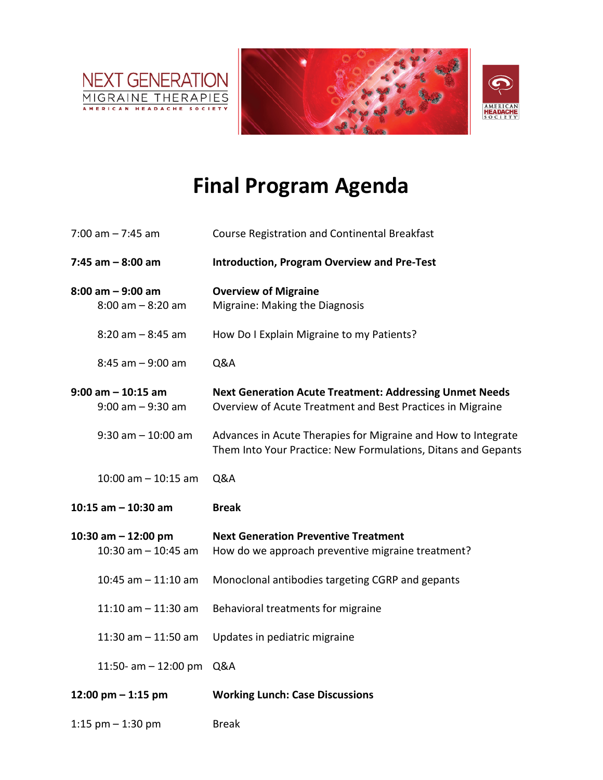



## **Final Program Agenda**

| $7:00$ am $-7:45$ am                             | Course Registration and Continental Breakfast                                                                                  |
|--------------------------------------------------|--------------------------------------------------------------------------------------------------------------------------------|
| $7:45$ am $-8:00$ am                             | <b>Introduction, Program Overview and Pre-Test</b>                                                                             |
| $8:00$ am $-9:00$ am<br>$8:00$ am $-8:20$ am     | <b>Overview of Migraine</b><br>Migraine: Making the Diagnosis                                                                  |
| $8:20$ am $-8:45$ am                             | How Do I Explain Migraine to my Patients?                                                                                      |
| $8:45$ am $-9:00$ am                             | Q&A                                                                                                                            |
| $9:00$ am $-10:15$ am<br>$9:00$ am $-9:30$ am    | <b>Next Generation Acute Treatment: Addressing Unmet Needs</b><br>Overview of Acute Treatment and Best Practices in Migraine   |
| $9:30$ am $-10:00$ am                            | Advances in Acute Therapies for Migraine and How to Integrate<br>Them Into Your Practice: New Formulations, Ditans and Gepants |
| $10:00$ am $- 10:15$ am                          | Q&A                                                                                                                            |
| 10:15 am $-$ 10:30 am                            | <b>Break</b>                                                                                                                   |
| 10:30 am $-$ 12:00 pm<br>$10:30$ am $- 10:45$ am | <b>Next Generation Preventive Treatment</b><br>How do we approach preventive migraine treatment?                               |
| 10:45 am $-$ 11:10 am                            | Monoclonal antibodies targeting CGRP and gepants                                                                               |
| 11:10 am $-$ 11:30 am                            | Behavioral treatments for migraine                                                                                             |
| 11:30 am $-$ 11:50 am                            | Updates in pediatric migraine                                                                                                  |
| 11:50- $am - 12:00$ pm                           | Q&A                                                                                                                            |
| 12:00 pm $-$ 1:15 pm                             | <b>Working Lunch: Case Discussions</b>                                                                                         |
| 1:15 $pm - 1:30$ pm                              | <b>Break</b>                                                                                                                   |